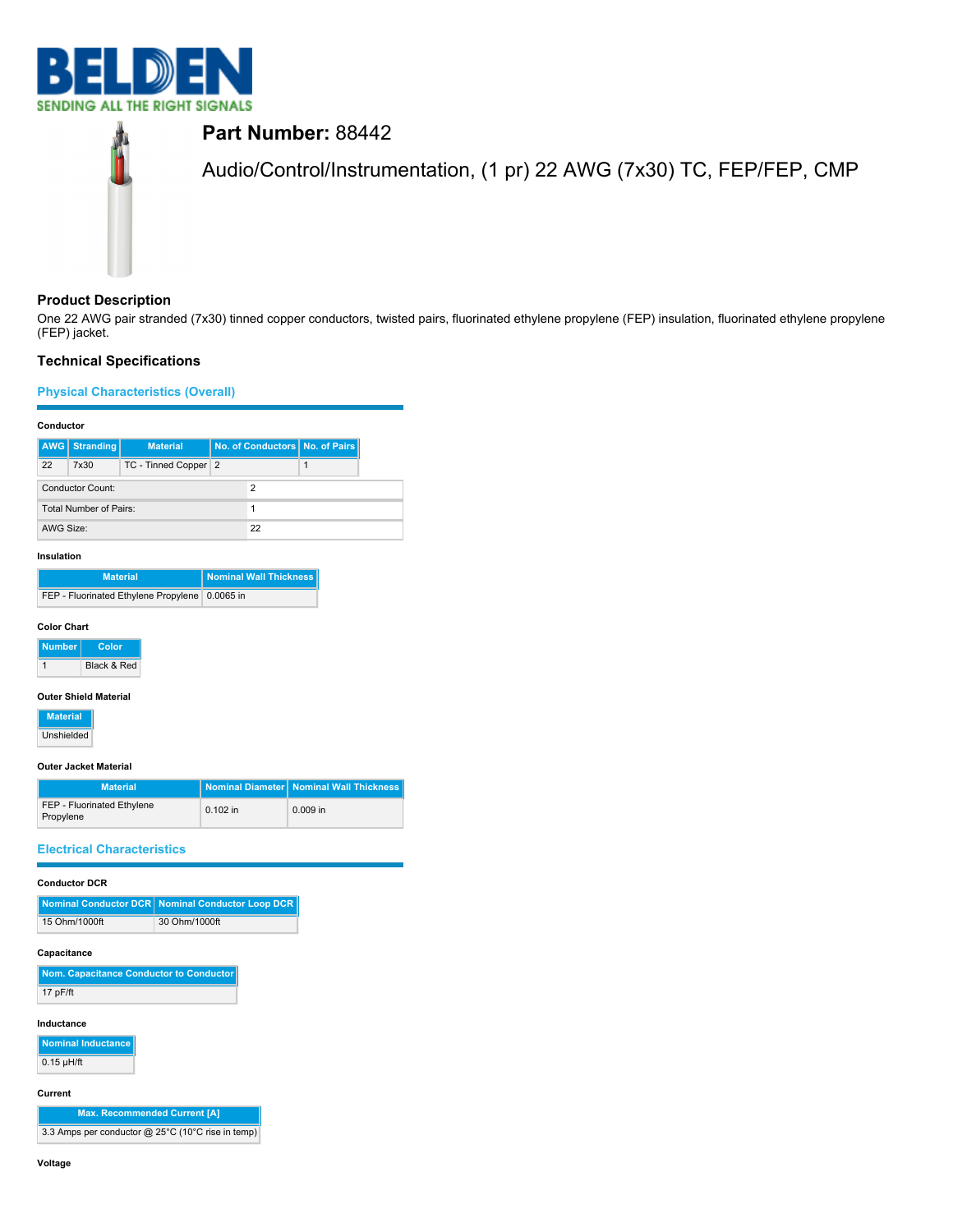



# **Product Description**

One 22 AWG pair stranded (7x30) tinned copper conductors, twisted pairs, fluorinated ethylene propylene (FEP) insulation, fluorinated ethylene propylene (FEP) jacket.

# **Technical Specifications**

# **Physical Characteristics (Overall)**

## **Conductor**

|                        | <b>AWG</b> Stranding | <b>Material</b>      |   | No. of Conductors   No. of Pairs |
|------------------------|----------------------|----------------------|---|----------------------------------|
| 22                     | 7x30                 | TC - Tinned Copper 2 |   |                                  |
|                        | Conductor Count:     |                      | 2 |                                  |
| Total Number of Pairs: |                      |                      |   |                                  |
| AWG Size:              |                      | 22                   |   |                                  |

#### **Insulation**

| <b>Material</b>                                  | <b>Nominal Wall Thickness</b> |
|--------------------------------------------------|-------------------------------|
| FEP - Fluorinated Ethylene Propylene   0.0065 in |                               |

#### **Color Chart**



#### **Outer Shield Material**

**Material** Unshielded

#### **Outer Jacket Material**

| <b>Material</b>                         |            | Nominal Diameter   Nominal Wall Thickness |
|-----------------------------------------|------------|-------------------------------------------|
| FEP - Fluorinated Ethylene<br>Propylene | $0.102$ in | $0.009$ in                                |

## **Electrical Characteristics**

## **Conductor DCR**

|               | Nominal Conductor DCR   Nominal Conductor Loop DCR |
|---------------|----------------------------------------------------|
| 15 Ohm/1000ft | 30 Ohm/1000ft                                      |

## **Capacitance**

| Nom. Capacitance Conductor to Conductor |
|-----------------------------------------|
| 17 $pF/ft$                              |

## **Inductance**

**Nominal Inductance**  $0.15 \mu H/ft$ 

#### **Current**

**Max. Recommended Current [A]** 3.3 Amps per conductor @ 25°C (10°C rise in temp)